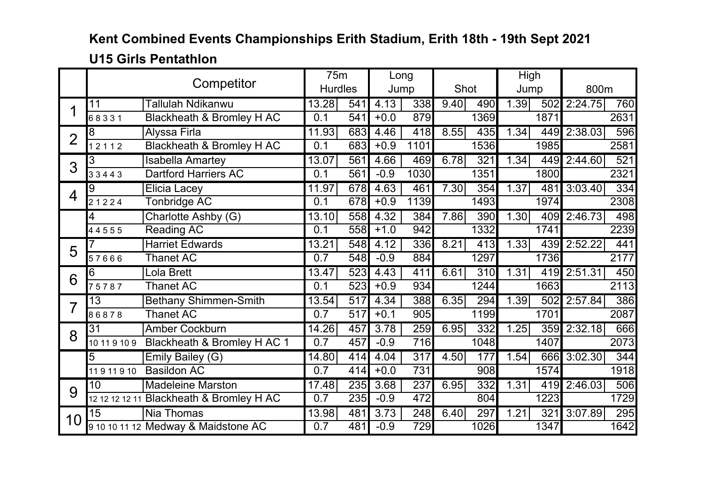### **U15 Girls Pentathlon**

|                |                                | Competitor                               | 75m              |     |        | Long             |      |      | High |      |         |      |
|----------------|--------------------------------|------------------------------------------|------------------|-----|--------|------------------|------|------|------|------|---------|------|
|                |                                |                                          | <b>Hurdles</b>   |     |        | Jump             | Shot |      | Jump |      | 800m    |      |
|                | 11                             | Tallulah Ndikanwu                        | 13.28            | 541 | 4.13   | 338              | 9.40 | 490  | 1.39 | 502  | 2:24.75 | 760  |
|                | 68331                          | Blackheath & Bromley H AC                | 0.1              | 541 | $+0.0$ | 879              |      | 1369 |      | 1871 |         | 2631 |
| $\overline{2}$ | 8                              | <b>Alyssa Firla</b>                      | 11.93            | 683 | 4.46   | 418              | 8.55 | 435  | 1.34 | 449  | 2:38.03 | 596  |
|                | 12112                          | <b>Blackheath &amp; Bromley H AC</b>     | 0.1              | 683 | $+0.9$ | 1101             |      | 1536 |      | 1985 |         | 2581 |
| 3              | 3                              | <b>Isabella Amartey</b>                  | 13.07            | 561 | 4.66   | 469              | 6.78 | 321  | 1.34 | 449  | 2:44.60 | 521  |
|                | 33443                          | <b>Dartford Harriers AC</b>              | 0.1              | 561 | $-0.9$ | 1030             |      | 1351 |      | 1800 |         | 2321 |
| $\overline{4}$ | 9                              | <b>Elicia Lacey</b>                      | 11.97            | 678 | 4.63   | 461              | 7.30 | 354  | 1.37 | 481  | 3:03.40 | 334  |
|                | 21224                          | <b>Tonbridge AC</b>                      | 0.1              | 678 | $+0.9$ | 1139             |      | 1493 |      | 1974 |         | 2308 |
|                | 4                              | Charlotte Ashby (G)                      | 13.10            | 558 | 4.32   | 384              | 7.86 | 390  | 1.30 | 409  | 2:46.73 | 498  |
|                | 44555                          | <b>Reading AC</b>                        | 0.1              | 558 | $+1.0$ | 942              |      | 1332 |      | 1741 |         | 2239 |
| 5              |                                | <b>Harriet Edwards</b>                   | 13.21            | 548 | 4.12   | 336              | 8.21 | 413  | 1.33 | 439  | 2:52.22 | 441  |
|                | 57666                          | <b>Thanet AC</b>                         | 0.7              | 548 | $-0.9$ | 884              |      | 1297 |      | 1736 |         | 2177 |
| 6              | 6                              | Lola Brett                               | 13.47            | 523 | 4.43   | 411              | 6.61 | 310  | 1.31 | 419  | 2:51.31 | 450  |
|                | 75787                          | <b>Thanet AC</b>                         | 0.1              | 523 | $+0.9$ | 934              |      | 1244 |      | 1663 |         | 2113 |
| 7              | 13                             | <b>Bethany Shimmen-Smith</b>             | 13.54            | 517 | 4.34   | 388              | 6.35 | 294  | 1.39 | 502  | 2:57.84 | 386  |
|                | 86878                          | <b>Thanet AC</b>                         | $\overline{0.7}$ | 517 | $+0.1$ | 905              |      | 1199 |      | 1701 |         | 2087 |
| 8              | 31                             | <b>Amber Cockburn</b>                    | 14.26            | 457 | 3.78   | 259              | 6.95 | 332  | 1.25 | 359  | 2:32.18 | 666  |
|                | 10 11 9 10 9                   | Blackheath & Bromley H AC 1              | 0.7              | 457 | $-0.9$ | 716              |      | 1048 |      | 1407 |         | 2073 |
|                | 5                              | Emily Bailey (G)                         | 14.80            | 414 | 4.04   | $\overline{317}$ | 4.50 | 177  | 1.54 | 666  | 3:02.30 | 344  |
|                | <b>Basildon AC</b><br>11911910 |                                          |                  | 414 | $+0.0$ | 731              |      | 908  |      | 1574 |         | 1918 |
| 9              | 10                             | <b>Madeleine Marston</b>                 | 17.48            | 235 | 3.68   | 237              | 6.95 | 332  | 1.31 | 419  | 2:46.03 | 506  |
|                |                                | 12 12 12 12 11 Blackheath & Bromley H AC | 0.7              | 235 | $-0.9$ | 472              |      | 804  |      | 1223 |         | 1729 |
| 10             | 15                             | Nia Thomas                               | 13.98            | 481 | 3.73   | 248              | 6.40 | 297  | 1.21 | 321  | 3:07.89 | 295  |
|                |                                | 9 10 10 11 12 Medway & Maidstone AC      | 0.7              | 481 | $-0.9$ | $\overline{729}$ |      | 1026 |      | 1347 |         | 1642 |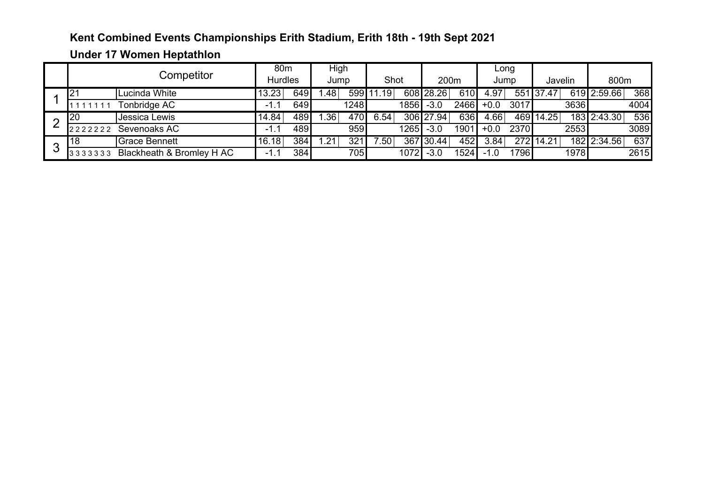### **Under 17 Women Heptathlon**

|   |                                      | 80 <sub>m</sub> |     | High             |               |                  |      |           |      |        | Long |           |      |             |      |
|---|--------------------------------------|-----------------|-----|------------------|---------------|------------------|------|-----------|------|--------|------|-----------|------|-------------|------|
|   | Competitor                           | <b>Hurdles</b>  |     | Jump             |               | Shot             |      | 200m      |      | Jump   |      | Javelin   |      | 800m        |      |
|   | Lucinda White                        | 3.23            | 649 | .48 <sup>°</sup> | 599 <b>I</b>  | .19              |      | 608 28.26 | 610  | 4.97   |      | 551 37.47 |      | 619 2:59.66 | 368  |
|   | <b>Tonbridge AC</b>                  | ۰.              | 649 | 1248             |               | 1856             |      | $-3.0$    | 2466 | $+0.0$ | 3017 | 3636      |      | 4004        |      |
| ⌒ | Jessica Lewis<br>20                  | 14.84           | 489 | .36'             | 470           | 6.54             |      | 306 27.94 | 636  | 4.66   |      | 469 14.25 |      | 183 2:43.30 | 536  |
|   | Sevenoaks AC<br>222222               | ۰.              | 489 |                  | 959           |                  | 1265 | $-3.0$    | 1901 | $+0.0$ | 2370 |           | 2553 |             | 3089 |
| ◠ | <b>Grace Bennett</b><br>18           | 16.18           | 384 | .21              | $32^{\prime}$ | .50 <sup>1</sup> |      | 367 30.44 | 452  | 3.84   |      | 272 14.21 |      | 182 2:34.56 | 637  |
| J | Blackheath & Bromley H AC<br>3333333 | -<br>ι.         | 384 |                  | 705           |                  | 1072 | $-3.0$    | 1524 |        | 1796 |           | 1978 |             | 2615 |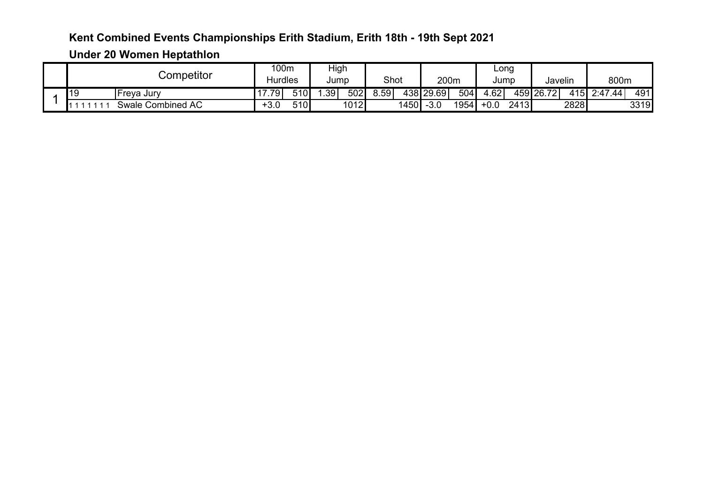**Under 20 Women Heptathlon** 

|  | $\mathsf{\cup}$ ompetitor |                               | 100m           |     | High             |      |      |      |           |      | Long              |      | $\cdots$  |              |         |      |
|--|---------------------------|-------------------------------|----------------|-----|------------------|------|------|------|-----------|------|-------------------|------|-----------|--------------|---------|------|
|  |                           |                               | <b>Hurdles</b> |     | Jump             |      | Shot |      | 200m      |      | Jump              |      | Javelin   |              | 800m    |      |
|  | 119                       | Freva Jurv                    | .79            | 510 | .39 <sup>°</sup> | 502  | 8.59 |      | 438 29.69 | 504  | $\overline{4.62}$ |      | 459 26.72 | 415 <b>I</b> | 2:47.44 | 491  |
|  |                           | <b>Combined AC</b><br>Swale ( | +3.0           | 510 |                  | 1012 |      | 1450 | $-3.0$    | 1954 | $+0.0$            | 2413 |           | 2828         |         | 3319 |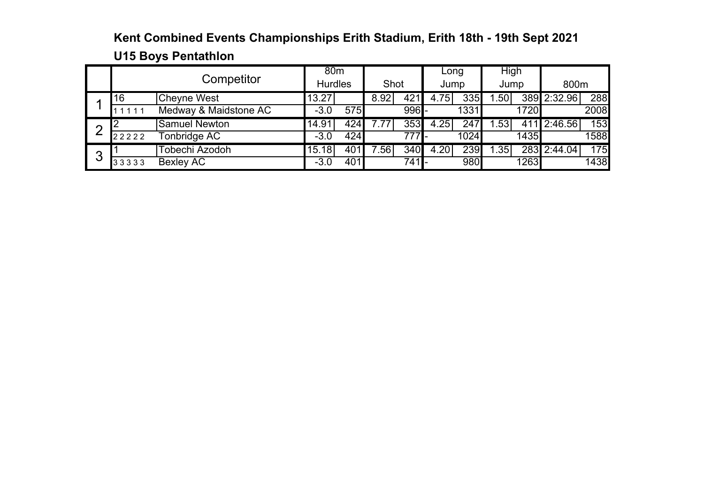## **Kent Combined Events Championships Erith Stadium, Erith 18th - 19th Sept 2021 U15 Boys Pentathlon**

|   |       | Competitor            | 80 <sub>m</sub>    |                |      |                | Long |      | High            |      |             |      |
|---|-------|-----------------------|--------------------|----------------|------|----------------|------|------|-----------------|------|-------------|------|
|   |       |                       |                    | <b>Hurdles</b> |      | Shot           |      | Jump | Jump            |      | 800m        |      |
|   | 16    | <b>Cheyne West</b>    | $13.\overline{27}$ |                | 8.92 | 421            | 4.75 | 335  | .50             |      | 389 2:32.96 | 288  |
|   | 1111  | Medway & Maidstone AC | $-3.0$             | 575            |      | $996 -$        |      | 1331 |                 | 1720 |             | 2008 |
| ⌒ |       | <b>Samuel Newton</b>  | 14.91              | 424            | 7.77 | 353            | 4.25 | 247  | .53             |      | 411 2:46.56 | 153  |
|   | 22222 | Tonbridge AC          | $-3.0$             | 424            |      | 777 <b>1</b> - |      | 1024 |                 | 1435 |             | 1588 |
| ◠ |       | Tobechi Azodoh        | 15.18              | 401            | 7.56 | 340            | 4.20 | 239  | $\overline{35}$ |      | 283 2:44.04 | 175  |
| J | 33333 | Bexley AC             | $-3.0$             | 401            |      | $741$ -        |      | 980  |                 | 1263 |             | 1438 |